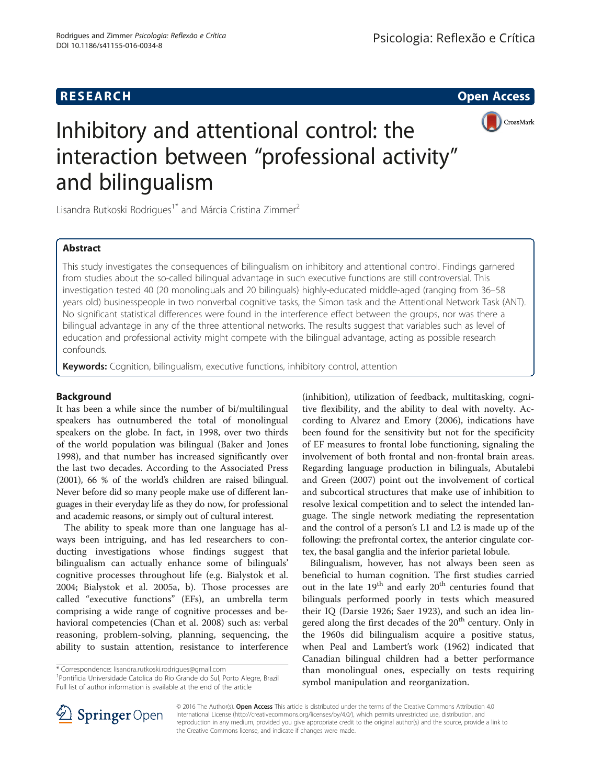

# Inhibitory and attentional control: the interaction between "professional activity" and bilingualism

Lisandra Rutkoski Rodrigues<sup>1\*</sup> and Márcia Cristina Zimmer<sup>2</sup>

# Abstract

This study investigates the consequences of bilingualism on inhibitory and attentional control. Findings garnered from studies about the so-called bilingual advantage in such executive functions are still controversial. This investigation tested 40 (20 monolinguals and 20 bilinguals) highly-educated middle-aged (ranging from 36–58 years old) businesspeople in two nonverbal cognitive tasks, the Simon task and the Attentional Network Task (ANT). No significant statistical differences were found in the interference effect between the groups, nor was there a bilingual advantage in any of the three attentional networks. The results suggest that variables such as level of education and professional activity might compete with the bilingual advantage, acting as possible research confounds.

Keywords: Cognition, bilingualism, executive functions, inhibitory control, attention

# Background

It has been a while since the number of bi/multilingual speakers has outnumbered the total of monolingual speakers on the globe. In fact, in 1998, over two thirds of the world population was bilingual (Baker and Jones [1998](#page-8-0)), and that number has increased significantly over the last two decades. According to the Associated Press ([2001\)](#page-8-0), 66 % of the world's children are raised bilingual. Never before did so many people make use of different languages in their everyday life as they do now, for professional and academic reasons, or simply out of cultural interest.

The ability to speak more than one language has always been intriguing, and has led researchers to conducting investigations whose findings suggest that bilingualism can actually enhance some of bilinguals' cognitive processes throughout life (e.g. Bialystok et al. [2004](#page-8-0); Bialystok et al. [2005a, b\)](#page-8-0). Those processes are called "executive functions" (EFs), an umbrella term comprising a wide range of cognitive processes and behavioral competencies (Chan et al. [2008](#page-8-0)) such as: verbal reasoning, problem-solving, planning, sequencing, the ability to sustain attention, resistance to interference

\* Correspondence: [lisandra.rutkoski.rodrigues@gmail.com](mailto:lisandra.rutkoski.rodrigues@gmail.com) <sup>1</sup>

<sup>1</sup>Pontificia Universidade Catolica do Rio Grande do Sul, Porto Alegre, Brazil Full list of author information is available at the end of the article

(inhibition), utilization of feedback, multitasking, cognitive flexibility, and the ability to deal with novelty. According to Alvarez and Emory ([2006](#page-8-0)), indications have been found for the sensitivity but not for the specificity of EF measures to frontal lobe functioning, signaling the involvement of both frontal and non-frontal brain areas. Regarding language production in bilinguals, Abutalebi and Green ([2007\)](#page-8-0) point out the involvement of cortical and subcortical structures that make use of inhibition to resolve lexical competition and to select the intended language. The single network mediating the representation and the control of a person's L1 and L2 is made up of the following: the prefrontal cortex, the anterior cingulate cortex, the basal ganglia and the inferior parietal lobule.

Bilingualism, however, has not always been seen as beneficial to human cognition. The first studies carried out in the late  $19<sup>th</sup>$  and early  $20<sup>th</sup>$  centuries found that bilinguals performed poorly in tests which measured their IQ (Darsie [1926](#page-8-0); Saer [1923\)](#page-9-0), and such an idea lingered along the first decades of the 20<sup>th</sup> century. Only in the 1960s did bilingualism acquire a positive status, when Peal and Lambert's work (1962) indicated that Canadian bilingual children had a better performance than monolingual ones, especially on tests requiring symbol manipulation and reorganization.



© 2016 The Author(s). Open Access This article is distributed under the terms of the Creative Commons Attribution 4.0 International License ([http://creativecommons.org/licenses/by/4.0/\)](http://creativecommons.org/licenses/by/4.0/), which permits unrestricted use, distribution, and reproduction in any medium, provided you give appropriate credit to the original author(s) and the source, provide a link to the Creative Commons license, and indicate if changes were made.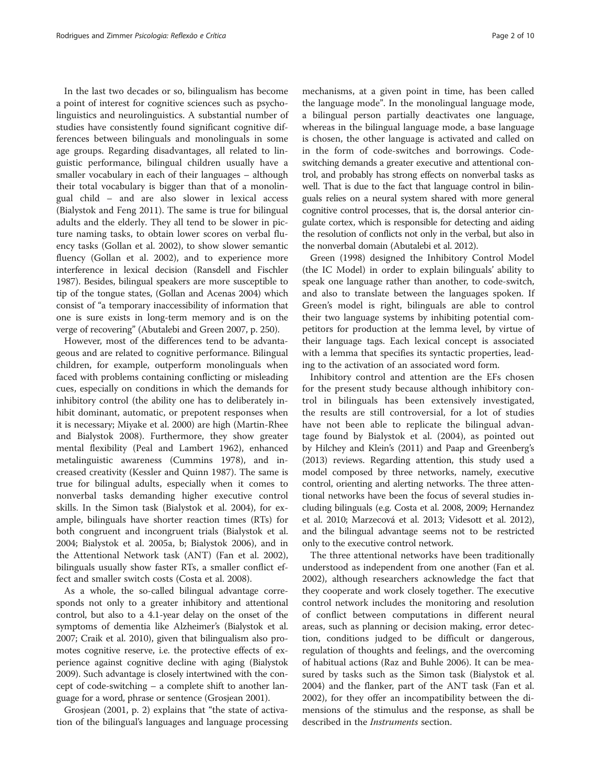In the last two decades or so, bilingualism has become a point of interest for cognitive sciences such as psycholinguistics and neurolinguistics. A substantial number of studies have consistently found significant cognitive differences between bilinguals and monolinguals in some age groups. Regarding disadvantages, all related to linguistic performance, bilingual children usually have a smaller vocabulary in each of their languages – although their total vocabulary is bigger than that of a monolingual child – and are also slower in lexical access (Bialystok and Feng [2011](#page-8-0)). The same is true for bilingual adults and the elderly. They all tend to be slower in picture naming tasks, to obtain lower scores on verbal fluency tasks (Gollan et al. [2002](#page-8-0)), to show slower semantic fluency (Gollan et al. [2002\)](#page-8-0), and to experience more interference in lexical decision (Ransdell and Fischler [1987\)](#page-9-0). Besides, bilingual speakers are more susceptible to tip of the tongue states, (Gollan and Acenas [2004\)](#page-8-0) which consist of "a temporary inaccessibility of information that one is sure exists in long-term memory and is on the verge of recovering" (Abutalebi and Green [2007,](#page-8-0) p. 250).

However, most of the differences tend to be advantageous and are related to cognitive performance. Bilingual children, for example, outperform monolinguals when faced with problems containing conflicting or misleading cues, especially on conditions in which the demands for inhibitory control (the ability one has to deliberately inhibit dominant, automatic, or prepotent responses when it is necessary; Miyake et al. [2000](#page-9-0)) are high (Martin-Rhee and Bialystok [2008](#page-9-0)). Furthermore, they show greater mental flexibility (Peal and Lambert [1962](#page-9-0)), enhanced metalinguistic awareness (Cummins [1978](#page-8-0)), and increased creativity (Kessler and Quinn [1987\)](#page-8-0). The same is true for bilingual adults, especially when it comes to nonverbal tasks demanding higher executive control skills. In the Simon task (Bialystok et al. [2004\)](#page-8-0), for example, bilinguals have shorter reaction times (RTs) for both congruent and incongruent trials (Bialystok et al. [2004](#page-8-0); Bialystok et al. [2005a](#page-8-0), [b;](#page-8-0) Bialystok [2006](#page-8-0)), and in the Attentional Network task (ANT) (Fan et al. [2002](#page-8-0)), bilinguals usually show faster RTs, a smaller conflict effect and smaller switch costs (Costa et al. [2008\)](#page-8-0).

As a whole, the so-called bilingual advantage corresponds not only to a greater inhibitory and attentional control, but also to a 4.1-year delay on the onset of the symptoms of dementia like Alzheimer's (Bialystok et al. [2007;](#page-8-0) Craik et al. [2010](#page-8-0)), given that bilingualism also promotes cognitive reserve, i.e. the protective effects of experience against cognitive decline with aging (Bialystok [2009\)](#page-8-0). Such advantage is closely intertwined with the concept of code-switching – a complete shift to another language for a word, phrase or sentence (Grosjean [2001\)](#page-8-0).

Grosjean ([2001](#page-8-0), p. 2) explains that "the state of activation of the bilingual's languages and language processing

mechanisms, at a given point in time, has been called the language mode". In the monolingual language mode, a bilingual person partially deactivates one language, whereas in the bilingual language mode, a base language is chosen, the other language is activated and called on in the form of code-switches and borrowings. Codeswitching demands a greater executive and attentional control, and probably has strong effects on nonverbal tasks as well. That is due to the fact that language control in bilinguals relies on a neural system shared with more general cognitive control processes, that is, the dorsal anterior cingulate cortex, which is responsible for detecting and aiding the resolution of conflicts not only in the verbal, but also in the nonverbal domain (Abutalebi et al. [2012\)](#page-8-0).

Green ([1998](#page-8-0)) designed the Inhibitory Control Model (the IC Model) in order to explain bilinguals' ability to speak one language rather than another, to code-switch, and also to translate between the languages spoken. If Green's model is right, bilinguals are able to control their two language systems by inhibiting potential competitors for production at the lemma level, by virtue of their language tags. Each lexical concept is associated with a lemma that specifies its syntactic properties, leading to the activation of an associated word form.

Inhibitory control and attention are the EFs chosen for the present study because although inhibitory control in bilinguals has been extensively investigated, the results are still controversial, for a lot of studies have not been able to replicate the bilingual advantage found by Bialystok et al. ([2004](#page-8-0)), as pointed out by Hilchey and Klein's [\(2011](#page-8-0)) and Paap and Greenberg's ([2013](#page-9-0)) reviews. Regarding attention, this study used a model composed by three networks, namely, executive control, orienting and alerting networks. The three attentional networks have been the focus of several studies including bilinguals (e.g. Costa et al. [2008](#page-8-0), [2009](#page-8-0); Hernandez et al. [2010](#page-8-0); Marzecová et al. [2013;](#page-9-0) Videsott et al. [2012](#page-9-0)), and the bilingual advantage seems not to be restricted only to the executive control network.

The three attentional networks have been traditionally understood as independent from one another (Fan et al. [2002](#page-8-0)), although researchers acknowledge the fact that they cooperate and work closely together. The executive control network includes the monitoring and resolution of conflict between computations in different neural areas, such as planning or decision making, error detection, conditions judged to be difficult or dangerous, regulation of thoughts and feelings, and the overcoming of habitual actions (Raz and Buhle [2006\)](#page-9-0). It can be measured by tasks such as the Simon task (Bialystok et al. [2004](#page-8-0)) and the flanker, part of the ANT task (Fan et al. [2002](#page-8-0)), for they offer an incompatibility between the dimensions of the stimulus and the response, as shall be described in the Instruments section.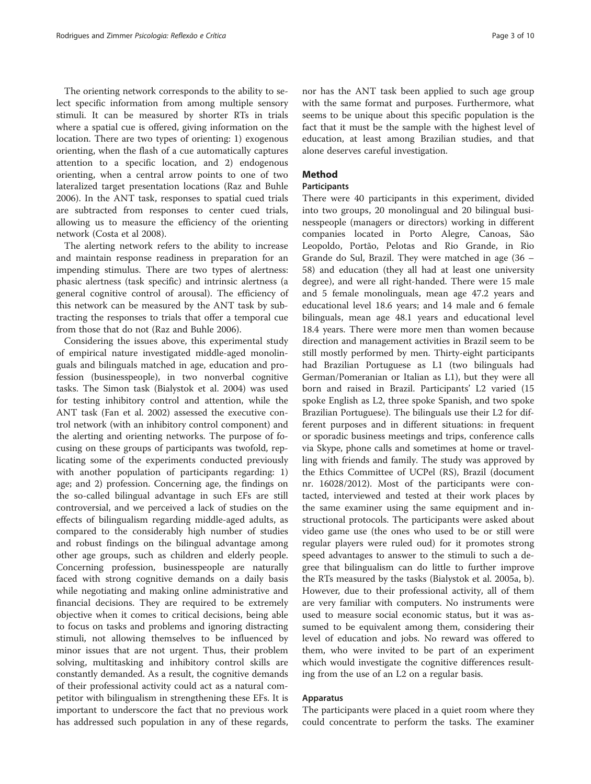The orienting network corresponds to the ability to select specific information from among multiple sensory stimuli. It can be measured by shorter RTs in trials where a spatial cue is offered, giving information on the location. There are two types of orienting: 1) exogenous orienting, when the flash of a cue automatically captures attention to a specific location, and 2) endogenous orienting, when a central arrow points to one of two lateralized target presentation locations (Raz and Buhle [2006](#page-9-0)). In the ANT task, responses to spatial cued trials are subtracted from responses to center cued trials, allowing us to measure the efficiency of the orienting network (Costa et al [2008](#page-8-0)).

The alerting network refers to the ability to increase and maintain response readiness in preparation for an impending stimulus. There are two types of alertness: phasic alertness (task specific) and intrinsic alertness (a general cognitive control of arousal). The efficiency of this network can be measured by the ANT task by subtracting the responses to trials that offer a temporal cue from those that do not (Raz and Buhle [2006](#page-9-0)).

Considering the issues above, this experimental study of empirical nature investigated middle-aged monolinguals and bilinguals matched in age, education and profession (businesspeople), in two nonverbal cognitive tasks. The Simon task (Bialystok et al. [2004\)](#page-8-0) was used for testing inhibitory control and attention, while the ANT task (Fan et al. [2002](#page-8-0)) assessed the executive control network (with an inhibitory control component) and the alerting and orienting networks. The purpose of focusing on these groups of participants was twofold, replicating some of the experiments conducted previously with another population of participants regarding: 1) age; and 2) profession. Concerning age, the findings on the so-called bilingual advantage in such EFs are still controversial, and we perceived a lack of studies on the effects of bilingualism regarding middle-aged adults, as compared to the considerably high number of studies and robust findings on the bilingual advantage among other age groups, such as children and elderly people. Concerning profession, businesspeople are naturally faced with strong cognitive demands on a daily basis while negotiating and making online administrative and financial decisions. They are required to be extremely objective when it comes to critical decisions, being able to focus on tasks and problems and ignoring distracting stimuli, not allowing themselves to be influenced by minor issues that are not urgent. Thus, their problem solving, multitasking and inhibitory control skills are constantly demanded. As a result, the cognitive demands of their professional activity could act as a natural competitor with bilingualism in strengthening these EFs. It is important to underscore the fact that no previous work has addressed such population in any of these regards,

nor has the ANT task been applied to such age group with the same format and purposes. Furthermore, what seems to be unique about this specific population is the fact that it must be the sample with the highest level of education, at least among Brazilian studies, and that alone deserves careful investigation.

## Method

## Participants

There were 40 participants in this experiment, divided into two groups, 20 monolingual and 20 bilingual businesspeople (managers or directors) working in different companies located in Porto Alegre, Canoas, São Leopoldo, Portão, Pelotas and Rio Grande, in Rio Grande do Sul, Brazil. They were matched in age (36 – 58) and education (they all had at least one university degree), and were all right-handed. There were 15 male and 5 female monolinguals, mean age 47.2 years and educational level 18.6 years; and 14 male and 6 female bilinguals, mean age 48.1 years and educational level 18.4 years. There were more men than women because direction and management activities in Brazil seem to be still mostly performed by men. Thirty-eight participants had Brazilian Portuguese as L1 (two bilinguals had German/Pomeranian or Italian as L1), but they were all born and raised in Brazil. Participants' L2 varied (15 spoke English as L2, three spoke Spanish, and two spoke Brazilian Portuguese). The bilinguals use their L2 for different purposes and in different situations: in frequent or sporadic business meetings and trips, conference calls via Skype, phone calls and sometimes at home or travelling with friends and family. The study was approved by the Ethics Committee of UCPel (RS), Brazil (document nr. 16028/2012). Most of the participants were contacted, interviewed and tested at their work places by the same examiner using the same equipment and instructional protocols. The participants were asked about video game use (the ones who used to be or still were regular players were ruled oud) for it promotes strong speed advantages to answer to the stimuli to such a degree that bilingualism can do little to further improve the RTs measured by the tasks (Bialystok et al. [2005a, b](#page-8-0)). However, due to their professional activity, all of them are very familiar with computers. No instruments were used to measure social economic status, but it was assumed to be equivalent among them, considering their level of education and jobs. No reward was offered to them, who were invited to be part of an experiment which would investigate the cognitive differences resulting from the use of an L2 on a regular basis.

## Apparatus

The participants were placed in a quiet room where they could concentrate to perform the tasks. The examiner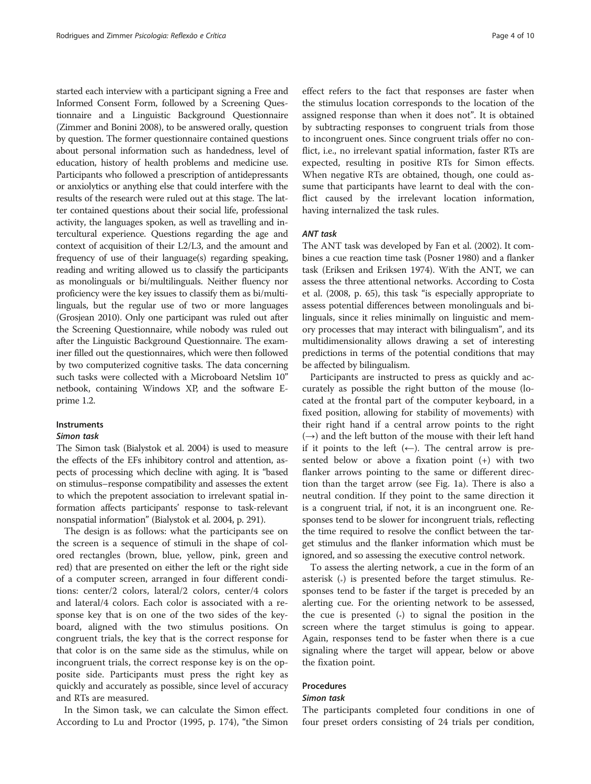started each interview with a participant signing a Free and Informed Consent Form, followed by a Screening Questionnaire and a Linguistic Background Questionnaire (Zimmer and Bonini [2008\)](#page-9-0), to be answered orally, question by question. The former questionnaire contained questions about personal information such as handedness, level of education, history of health problems and medicine use. Participants who followed a prescription of antidepressants or anxiolytics or anything else that could interfere with the results of the research were ruled out at this stage. The latter contained questions about their social life, professional activity, the languages spoken, as well as travelling and intercultural experience. Questions regarding the age and context of acquisition of their L2/L3, and the amount and frequency of use of their language(s) regarding speaking, reading and writing allowed us to classify the participants as monolinguals or bi/multilinguals. Neither fluency nor proficiency were the key issues to classify them as bi/multilinguals, but the regular use of two or more languages (Grosjean [2010\)](#page-8-0). Only one participant was ruled out after the Screening Questionnaire, while nobody was ruled out after the Linguistic Background Questionnaire. The examiner filled out the questionnaires, which were then followed by two computerized cognitive tasks. The data concerning such tasks were collected with a Microboard Netslim 10" netbook, containing Windows XP, and the software Eprime 1.2.

#### **Instruments**

## Simon task

The Simon task (Bialystok et al. [2004](#page-8-0)) is used to measure the effects of the EFs inhibitory control and attention, aspects of processing which decline with aging. It is "based on stimulus–response compatibility and assesses the extent to which the prepotent association to irrelevant spatial information affects participants' response to task-relevant nonspatial information" (Bialystok et al. [2004,](#page-8-0) p. 291).

The design is as follows: what the participants see on the screen is a sequence of stimuli in the shape of colored rectangles (brown, blue, yellow, pink, green and red) that are presented on either the left or the right side of a computer screen, arranged in four different conditions: center/2 colors, lateral/2 colors, center/4 colors and lateral/4 colors. Each color is associated with a response key that is on one of the two sides of the keyboard, aligned with the two stimulus positions. On congruent trials, the key that is the correct response for that color is on the same side as the stimulus, while on incongruent trials, the correct response key is on the opposite side. Participants must press the right key as quickly and accurately as possible, since level of accuracy and RTs are measured.

In the Simon task, we can calculate the Simon effect. According to Lu and Proctor ([1995](#page-9-0), p. 174), "the Simon

effect refers to the fact that responses are faster when the stimulus location corresponds to the location of the assigned response than when it does not". It is obtained by subtracting responses to congruent trials from those to incongruent ones. Since congruent trials offer no conflict, i.e., no irrelevant spatial information, faster RTs are expected, resulting in positive RTs for Simon effects. When negative RTs are obtained, though, one could assume that participants have learnt to deal with the conflict caused by the irrelevant location information, having internalized the task rules.

## ANT task

The ANT task was developed by Fan et al. [\(2002\)](#page-8-0). It combines a cue reaction time task (Posner [1980](#page-9-0)) and a flanker task (Eriksen and Eriksen [1974](#page-8-0)). With the ANT, we can assess the three attentional networks. According to Costa et al. ([2008](#page-8-0), p. 65), this task "is especially appropriate to assess potential differences between monolinguals and bilinguals, since it relies minimally on linguistic and memory processes that may interact with bilingualism", and its multidimensionality allows drawing a set of interesting predictions in terms of the potential conditions that may be affected by bilingualism.

Participants are instructed to press as quickly and accurately as possible the right button of the mouse (located at the frontal part of the computer keyboard, in a fixed position, allowing for stability of movements) with their right hand if a central arrow points to the right  $(\rightarrow)$  and the left button of the mouse with their left hand if it points to the left  $(\leftarrow)$ . The central arrow is presented below or above a fixation point (+) with two flanker arrows pointing to the same or different direction than the target arrow (see Fig. [1](#page-4-0)a). There is also a neutral condition. If they point to the same direction it is a congruent trial, if not, it is an incongruent one. Responses tend to be slower for incongruent trials, reflecting the time required to resolve the conflict between the target stimulus and the flanker information which must be ignored, and so assessing the executive control network.

To assess the alerting network, a cue in the form of an asterisk (\*) is presented before the target stimulus. Responses tend to be faster if the target is preceded by an alerting cue. For the orienting network to be assessed, the cue is presented  $(*)$  to signal the position in the screen where the target stimulus is going to appear. Again, responses tend to be faster when there is a cue signaling where the target will appear, below or above the fixation point.

# Procedures

# Simon task

The participants completed four conditions in one of four preset orders consisting of 24 trials per condition,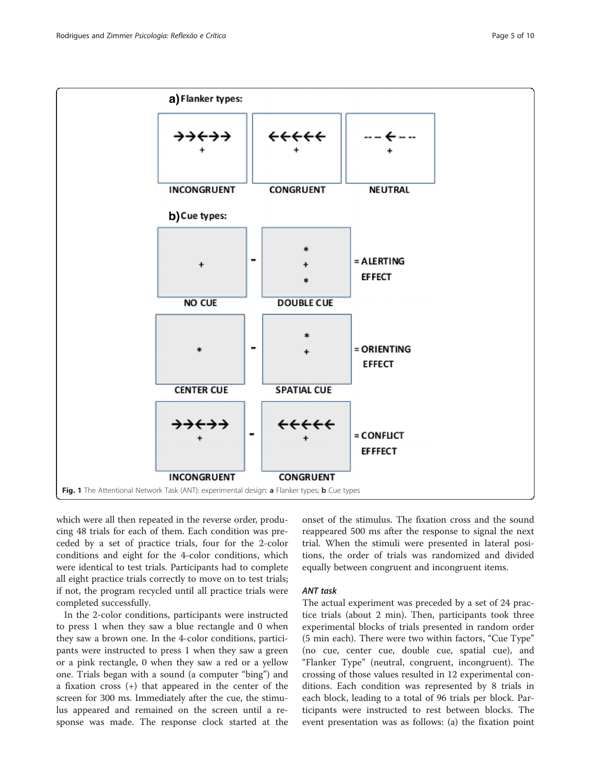<span id="page-4-0"></span>

which were all then repeated in the reverse order, producing 48 trials for each of them. Each condition was preceded by a set of practice trials, four for the 2-color conditions and eight for the 4-color conditions, which were identical to test trials. Participants had to complete all eight practice trials correctly to move on to test trials; if not, the program recycled until all practice trials were completed successfully.

In the 2-color conditions, participants were instructed to press 1 when they saw a blue rectangle and 0 when they saw a brown one. In the 4-color conditions, participants were instructed to press 1 when they saw a green or a pink rectangle, 0 when they saw a red or a yellow one. Trials began with a sound (a computer "bing") and a fixation cross (+) that appeared in the center of the screen for 300 ms. Immediately after the cue, the stimulus appeared and remained on the screen until a response was made. The response clock started at the

onset of the stimulus. The fixation cross and the sound reappeared 500 ms after the response to signal the next trial. When the stimuli were presented in lateral positions, the order of trials was randomized and divided equally between congruent and incongruent items.

## ANT task

The actual experiment was preceded by a set of 24 practice trials (about 2 min). Then, participants took three experimental blocks of trials presented in random order (5 min each). There were two within factors, "Cue Type" (no cue, center cue, double cue, spatial cue), and "Flanker Type" (neutral, congruent, incongruent). The crossing of those values resulted in 12 experimental conditions. Each condition was represented by 8 trials in each block, leading to a total of 96 trials per block. Participants were instructed to rest between blocks. The event presentation was as follows: (a) the fixation point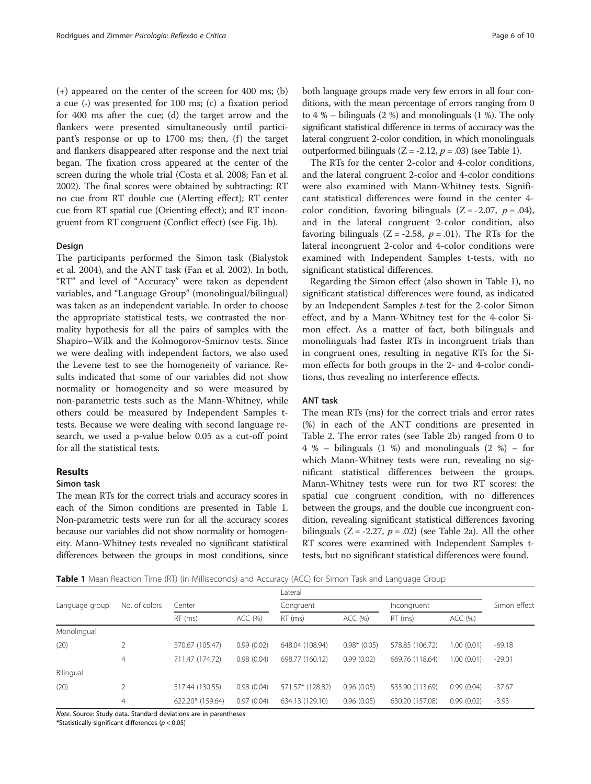(+) appeared on the center of the screen for 400 ms; (b) a cue (\*) was presented for 100 ms; (c) a fixation period for 400 ms after the cue; (d) the target arrow and the flankers were presented simultaneously until participant's response or up to  $1700$  ms; then,  $(f)$  the target and flankers disappeared after response and the next trial began. The fixation cross appeared at the center of the screen during the whole trial (Costa et al. [2008](#page-8-0); Fan et al. [2002\)](#page-8-0). The final scores were obtained by subtracting: RT no cue from RT double cue (Alerting effect); RT center cue from RT spatial cue (Orienting effect); and RT incongruent from RT congruent (Conflict effect) (see Fig. [1b\)](#page-4-0).

#### Design

The participants performed the Simon task (Bialystok et al. [2004](#page-8-0)), and the ANT task (Fan et al. [2002](#page-8-0)). In both, "RT" and level of "Accuracy" were taken as dependent variables, and "Language Group" (monolingual/bilingual) was taken as an independent variable. In order to choose the appropriate statistical tests, we contrasted the normality hypothesis for all the pairs of samples with the Shapiro–Wilk and the Kolmogorov-Smirnov tests. Since we were dealing with independent factors, we also used the Levene test to see the homogeneity of variance. Results indicated that some of our variables did not show normality or homogeneity and so were measured by non-parametric tests such as the Mann-Whitney, while others could be measured by Independent Samples ttests. Because we were dealing with second language research, we used a p-value below 0.05 as a cut-off point for all the statistical tests.

# Results

#### Simon task

The mean RTs for the correct trials and accuracy scores in each of the Simon conditions are presented in Table 1. Non-parametric tests were run for all the accuracy scores because our variables did not show normality or homogeneity. Mann-Whitney tests revealed no significant statistical differences between the groups in most conditions, since both language groups made very few errors in all four conditions, with the mean percentage of errors ranging from 0 to 4 % – bilinguals (2 %) and monolinguals (1 %). The only significant statistical difference in terms of accuracy was the lateral congruent 2-color condition, in which monolinguals outperformed bilinguals  $(Z = -2.12, p = .03)$  (see Table 1).

The RTs for the center 2-color and 4-color conditions, and the lateral congruent 2-color and 4-color conditions were also examined with Mann-Whitney tests. Significant statistical differences were found in the center 4 color condition, favoring bilinguals  $(Z = -2.07, p = .04)$ , and in the lateral congruent 2-color condition, also favoring bilinguals ( $Z = -2.58$ ,  $p = .01$ ). The RTs for the lateral incongruent 2-color and 4-color conditions were examined with Independent Samples t-tests, with no significant statistical differences.

Regarding the Simon effect (also shown in Table 1), no significant statistical differences were found, as indicated by an Independent Samples t-test for the 2-color Simon effect, and by a Mann-Whitney test for the 4-color Simon effect. As a matter of fact, both bilinguals and monolinguals had faster RTs in incongruent trials than in congruent ones, resulting in negative RTs for the Simon effects for both groups in the 2- and 4-color conditions, thus revealing no interference effects.

# ANT task

The mean RTs (ms) for the correct trials and error rates (%) in each of the ANT conditions are presented in Table [2](#page-6-0). The error rates (see Table [2b](#page-6-0)) ranged from 0 to 4 % – bilinguals (1 %) and monolinguals (2 %) – for which Mann-Whitney tests were run, revealing no significant statistical differences between the groups. Mann-Whitney tests were run for two RT scores: the spatial cue congruent condition, with no differences between the groups, and the double cue incongruent condition, revealing significant statistical differences favoring bilinguals  $(Z = -2.27, p = .02)$  (see Table [2](#page-6-0)a). All the other RT scores were examined with Independent Samples ttests, but no significant statistical differences were found.

Table 1 Mean Reaction Time (RT) (in Milliseconds) and Accuracy (ACC) for Simon Task and Language Group

|                | No. of colors  |                  |            | Lateral          |                |                 |             | Simon effect |
|----------------|----------------|------------------|------------|------------------|----------------|-----------------|-------------|--------------|
| Language group |                | Center           |            | Congruent        |                | Incongruent     |             |              |
|                |                | $RT$ (ms)        | ACC(%)     | $RT$ (ms)        | ACC (%)        | $RT$ (ms)       | ACC(%)      |              |
| Monolingual    |                |                  |            |                  |                |                 |             |              |
| (20)           | 2              | 570.67 (105.47)  | 0.99(0.02) | 648.04 (108.94)  | $0.98*$ (0.05) | 578.85 (106.72) | 1.00 (0.01) | $-69.18$     |
|                | 4              | 711.47 (174.72)  | 0.98(0.04) | 698.77 (160.12)  | 0.99(0.02)     | 669.76 (118.64) | 1.00(0.01)  | $-29.01$     |
| Bilingual      |                |                  |            |                  |                |                 |             |              |
| (20)           |                | 517.44 (130.55)  | 0.98(0.04) | 571.57* (128.82) | 0.96(0.05)     | 533.90 (113.69) | 0.99(0.04)  | $-37.67$     |
|                | $\overline{4}$ | 622.20* (159.64) | 0.97(0.04) | 634.13 (129.10)  | 0.96(0.05)     | 630.20 (157.08) | 0.99(0.02)  | $-3.93$      |

Note. Source: Study data. Standard deviations are in parentheses

\*Statistically significant differences ( $p < 0.05$ )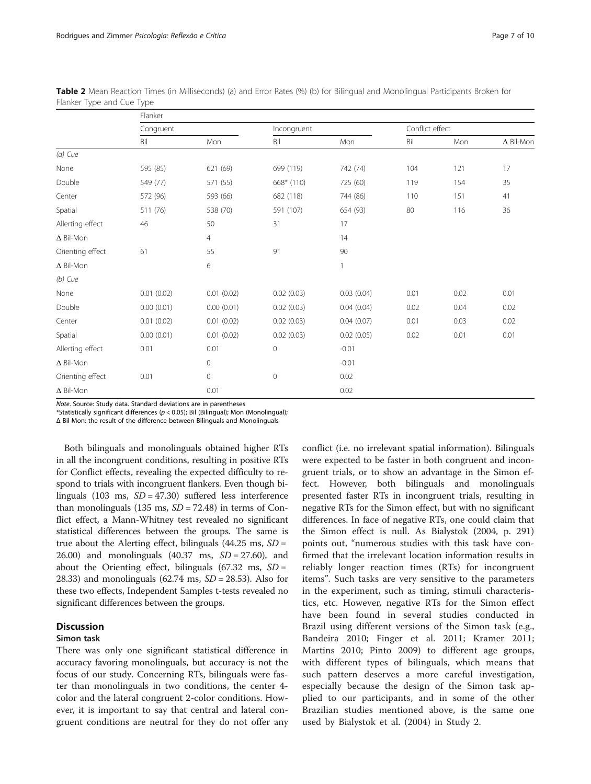|                  | Flanker    |                |              |              |                 |      |                  |  |  |  |  |
|------------------|------------|----------------|--------------|--------------|-----------------|------|------------------|--|--|--|--|
|                  | Congruent  |                | Incongruent  |              | Conflict effect |      |                  |  |  |  |  |
|                  | Bil        | Mon            | Bil          | Mon          | Bil             | Mon  | $\Delta$ Bil-Mon |  |  |  |  |
| (a) Cue          |            |                |              |              |                 |      |                  |  |  |  |  |
| None             | 595 (85)   | 621 (69)       | 699 (119)    | 742 (74)     | 104             | 121  | 17               |  |  |  |  |
| Double           | 549 (77)   | 571 (55)       | $668*$ (110) | 725 (60)     | 119             | 154  | 35               |  |  |  |  |
| Center           | 572 (96)   | 593 (66)       | 682 (118)    | 744 (86)     | 110             | 151  | 41               |  |  |  |  |
| Spatial          | 511 (76)   | 538 (70)       | 591 (107)    | 654 (93)     | 80              | 116  | 36               |  |  |  |  |
| Allerting effect | 46         | 50             | 31           | 17           |                 |      |                  |  |  |  |  |
| $\Delta$ Bil-Mon |            | $\overline{4}$ |              | 14           |                 |      |                  |  |  |  |  |
| Orienting effect | 61         | 55             | 91           | 90           |                 |      |                  |  |  |  |  |
| $\Delta$ Bil-Mon |            | 6              |              | $\mathbf{1}$ |                 |      |                  |  |  |  |  |
| $(b)$ Cue        |            |                |              |              |                 |      |                  |  |  |  |  |
| None             | 0.01(0.02) | 0.01(0.02)     | 0.02(0.03)   | 0.03(0.04)   | 0.01            | 0.02 | 0.01             |  |  |  |  |
| Double           | 0.00(0.01) | 0.00(0.01)     | 0.02(0.03)   | 0.04(0.04)   | 0.02            | 0.04 | 0.02             |  |  |  |  |
| Center           | 0.01(0.02) | 0.01(0.02)     | 0.02(0.03)   | 0.04(0.07)   | 0.01            | 0.03 | 0.02             |  |  |  |  |
| Spatial          | 0.00(0.01) | 0.01(0.02)     | 0.02(0.03)   | 0.02(0.05)   | 0.02            | 0.01 | 0.01             |  |  |  |  |
| Allerting effect | 0.01       | 0.01           | $\mathbf 0$  | $-0.01$      |                 |      |                  |  |  |  |  |
| $\Delta$ Bil-Mon |            | $\overline{0}$ |              | $-0.01$      |                 |      |                  |  |  |  |  |
| Orienting effect | 0.01       | 0              | $\mathbf 0$  | 0.02         |                 |      |                  |  |  |  |  |
| $\Delta$ Bil-Mon |            | 0.01           |              | 0.02         |                 |      |                  |  |  |  |  |

<span id="page-6-0"></span>Table 2 Mean Reaction Times (in Milliseconds) (a) and Error Rates (%) (b) for Bilingual and Monolingual Participants Broken for Flanker Type and Cue Type

Note. Source: Study data. Standard deviations are in parentheses

\*Statistically significant differences ( $p < 0.05$ ); Bil (Bilingual); Mon (Monolingual);

Δ Bil-Mon: the result of the difference between Bilinguals and Monolinguals

Both bilinguals and monolinguals obtained higher RTs in all the incongruent conditions, resulting in positive RTs for Conflict effects, revealing the expected difficulty to respond to trials with incongruent flankers. Even though bilinguals (103 ms,  $SD = 47.30$ ) suffered less interference than monolinguals (135 ms,  $SD = 72.48$ ) in terms of Conflict effect, a Mann-Whitney test revealed no significant statistical differences between the groups. The same is true about the Alerting effect, bilinguals  $(44.25 \text{ ms}, SD =$ 26.00) and monolinguals  $(40.37 \text{ ms}, SD = 27.60)$ , and about the Orienting effect, bilinguals  $(67.32 \text{ ms}, SD =$ 28.33) and monolinguals  $(62.74 \text{ ms}, SD = 28.53)$ . Also for these two effects, Independent Samples t-tests revealed no significant differences between the groups.

# **Discussion**

# Simon task

There was only one significant statistical difference in accuracy favoring monolinguals, but accuracy is not the focus of our study. Concerning RTs, bilinguals were faster than monolinguals in two conditions, the center 4 color and the lateral congruent 2-color conditions. However, it is important to say that central and lateral congruent conditions are neutral for they do not offer any

conflict (i.e. no irrelevant spatial information). Bilinguals were expected to be faster in both congruent and incongruent trials, or to show an advantage in the Simon effect. However, both bilinguals and monolinguals presented faster RTs in incongruent trials, resulting in negative RTs for the Simon effect, but with no significant differences. In face of negative RTs, one could claim that the Simon effect is null. As Bialystok [\(2004,](#page-8-0) p. 291) points out, "numerous studies with this task have confirmed that the irrelevant location information results in reliably longer reaction times (RTs) for incongruent items". Such tasks are very sensitive to the parameters in the experiment, such as timing, stimuli characteristics, etc. However, negative RTs for the Simon effect have been found in several studies conducted in Brazil using different versions of the Simon task (e.g., Bandeira [2010](#page-8-0); Finger et al. [2011;](#page-8-0) Kramer [2011](#page-9-0); Martins [2010;](#page-9-0) Pinto [2009](#page-9-0)) to different age groups, with different types of bilinguals, which means that such pattern deserves a more careful investigation, especially because the design of the Simon task applied to our participants, and in some of the other Brazilian studies mentioned above, is the same one used by Bialystok et al. ([2004\)](#page-8-0) in Study 2.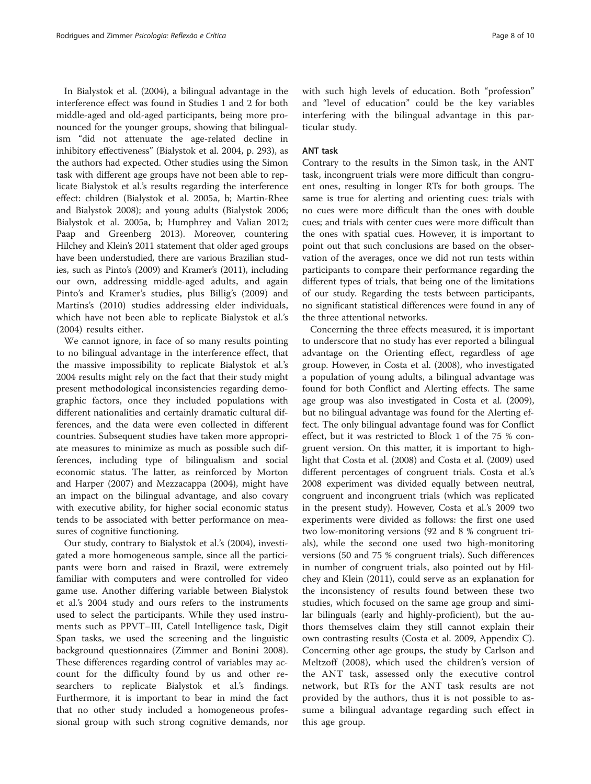In Bialystok et al. [\(2004\)](#page-8-0), a bilingual advantage in the interference effect was found in Studies 1 and 2 for both middle-aged and old-aged participants, being more pronounced for the younger groups, showing that bilingualism "did not attenuate the age-related decline in inhibitory effectiveness" (Bialystok et al. [2004](#page-8-0), p. 293), as the authors had expected. Other studies using the Simon task with different age groups have not been able to replicate Bialystok et al.'s results regarding the interference effect: children (Bialystok et al. [2005a](#page-8-0), [b;](#page-8-0) Martin-Rhee and Bialystok [2008\)](#page-9-0); and young adults (Bialystok [2006](#page-8-0); Bialystok et al. [2005a](#page-8-0), [b;](#page-8-0) Humphrey and Valian [2012](#page-8-0); Paap and Greenberg [2013](#page-9-0)). Moreover, countering Hilchey and Klein's [2011](#page-8-0) statement that older aged groups have been understudied, there are various Brazilian studies, such as Pinto's [\(2009](#page-9-0)) and Kramer's [\(2011\)](#page-9-0), including our own, addressing middle-aged adults, and again Pinto's and Kramer's studies, plus Billig's ([2009\)](#page-8-0) and Martins's ([2010\)](#page-9-0) studies addressing elder individuals, which have not been able to replicate Bialystok et al.'s ([2004\)](#page-8-0) results either.

We cannot ignore, in face of so many results pointing to no bilingual advantage in the interference effect, that the massive impossibility to replicate Bialystok et al.'s [2004](#page-8-0) results might rely on the fact that their study might present methodological inconsistencies regarding demographic factors, once they included populations with different nationalities and certainly dramatic cultural differences, and the data were even collected in different countries. Subsequent studies have taken more appropriate measures to minimize as much as possible such differences, including type of bilingualism and social economic status. The latter, as reinforced by Morton and Harper ([2007](#page-9-0)) and Mezzacappa [\(2004\)](#page-9-0), might have an impact on the bilingual advantage, and also covary with executive ability, for higher social economic status tends to be associated with better performance on measures of cognitive functioning.

Our study, contrary to Bialystok et al.'s [\(2004\)](#page-8-0), investigated a more homogeneous sample, since all the participants were born and raised in Brazil, were extremely familiar with computers and were controlled for video game use. Another differing variable between Bialystok et al.'s [2004](#page-8-0) study and ours refers to the instruments used to select the participants. While they used instruments such as PPVT–III, Catell Intelligence task, Digit Span tasks, we used the screening and the linguistic background questionnaires (Zimmer and Bonini [2008](#page-9-0)). These differences regarding control of variables may account for the difficulty found by us and other researchers to replicate Bialystok et al.'s findings. Furthermore, it is important to bear in mind the fact that no other study included a homogeneous professional group with such strong cognitive demands, nor with such high levels of education. Both "profession" and "level of education" could be the key variables interfering with the bilingual advantage in this particular study.

# ANT task

Contrary to the results in the Simon task, in the ANT task, incongruent trials were more difficult than congruent ones, resulting in longer RTs for both groups. The same is true for alerting and orienting cues: trials with no cues were more difficult than the ones with double cues; and trials with center cues were more difficult than the ones with spatial cues. However, it is important to point out that such conclusions are based on the observation of the averages, once we did not run tests within participants to compare their performance regarding the different types of trials, that being one of the limitations of our study. Regarding the tests between participants, no significant statistical differences were found in any of the three attentional networks.

Concerning the three effects measured, it is important to underscore that no study has ever reported a bilingual advantage on the Orienting effect, regardless of age group. However, in Costa et al. ([2008\)](#page-8-0), who investigated a population of young adults, a bilingual advantage was found for both Conflict and Alerting effects. The same age group was also investigated in Costa et al. ([2009](#page-8-0)), but no bilingual advantage was found for the Alerting effect. The only bilingual advantage found was for Conflict effect, but it was restricted to Block 1 of the 75 % congruent version. On this matter, it is important to highlight that Costa et al. ([2008](#page-8-0)) and Costa et al. ([2009\)](#page-8-0) used different percentages of congruent trials. Costa et al.'s [2008](#page-8-0) experiment was divided equally between neutral, congruent and incongruent trials (which was replicated in the present study). However, Costa et al.'s [2009](#page-8-0) two experiments were divided as follows: the first one used two low-monitoring versions (92 and 8 % congruent trials), while the second one used two high-monitoring versions (50 and 75 % congruent trials). Such differences in number of congruent trials, also pointed out by Hilchey and Klein ([2011](#page-8-0)), could serve as an explanation for the inconsistency of results found between these two studies, which focused on the same age group and similar bilinguals (early and highly-proficient), but the authors themselves claim they still cannot explain their own contrasting results (Costa et al. [2009,](#page-8-0) Appendix C). Concerning other age groups, the study by Carlson and Meltzoff ([2008](#page-8-0)), which used the children's version of the ANT task, assessed only the executive control network, but RTs for the ANT task results are not provided by the authors, thus it is not possible to assume a bilingual advantage regarding such effect in this age group.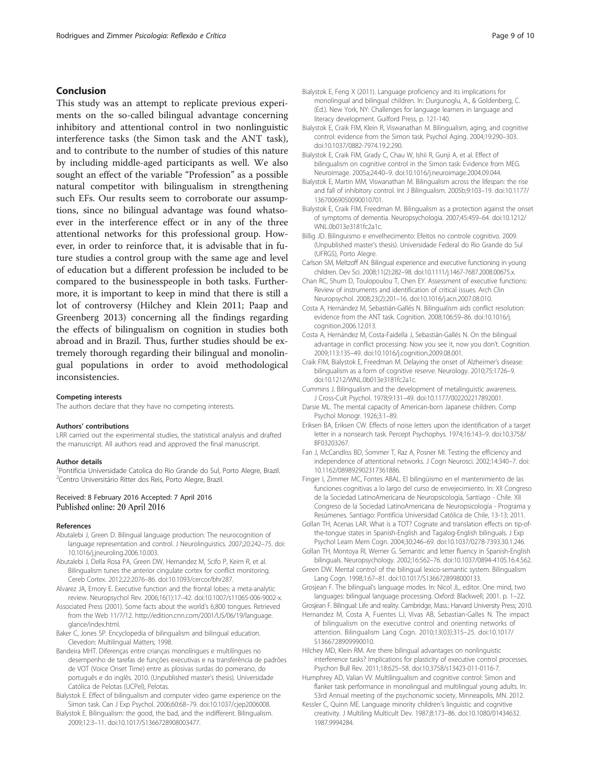# <span id="page-8-0"></span>Conclusion

This study was an attempt to replicate previous experiments on the so-called bilingual advantage concerning inhibitory and attentional control in two nonlinguistic interference tasks (the Simon task and the ANT task), and to contribute to the number of studies of this nature by including middle-aged participants as well. We also sought an effect of the variable "Profession" as a possible natural competitor with bilingualism in strengthening such EFs. Our results seem to corroborate our assumptions, since no bilingual advantage was found whatsoever in the interference effect or in any of the three attentional networks for this professional group. However, in order to reinforce that, it is advisable that in future studies a control group with the same age and level of education but a different profession be included to be compared to the businesspeople in both tasks. Furthermore, it is important to keep in mind that there is still a lot of controversy (Hilchey and Klein 2011; Paap and Greenberg [2013](#page-9-0)) concerning all the findings regarding the effects of bilingualism on cognition in studies both abroad and in Brazil. Thus, further studies should be extremely thorough regarding their bilingual and monolingual populations in order to avoid methodological inconsistencies.

#### Competing interests

The authors declare that they have no competing interests.

#### Authors' contributions

LRR carried out the experimental studies, the statistical analysis and drafted the manuscript. All authors read and approved the final manuscript.

#### Author details

<sup>1</sup> Pontificia Universidade Catolica do Rio Grande do Sul, Porto Alegre, Brazil. <sup>2</sup> Centro Universitário Ritter dos Reis, Porto Alegre, Brazil.

#### Received: 8 February 2016 Accepted: 7 April 2016 Published online: 20 April 2016

#### References

- Abutalebi J, Green D. Bilingual language production: The neurocognition of language representation and control. J Neurolinguistics. 2007;20:242–75. doi: [10.1016/j.jneuroling.2006.10.003.](http://dx.doi.org/10.1016/j.jneuroling.2006.10.003)
- Abutalebi J, Della Rosa PA, Green DW, Hernandez M, Scifo P, Keim R, et al. Bilingualism tunes the anterior cingulate cortex for conflict monitoring. Cereb Cortex. 2012;22:2076–86. doi:[10.1093/cercor/bhr287.](http://dx.doi.org/10.1093/cercor/bhr287)
- Alvarez JA, Emory E. Executive function and the frontal lobes: a meta-analytic review. Neuropsychol Rev. 2006;16(1):17–42. doi[:10.1007/s11065-006-9002-x](http://dx.doi.org/10.1007/s11065-006-9002-x).
- Associated Press (2001). Some facts about the world's 6,800 tongues. Retrieved from the Web 11/7/12. [http://edition.cnn.com/2001/US/06/19/language.](http://edition.cnn.com/2001/US/06/19/language.glance/index.html) [glance/index.html.](http://edition.cnn.com/2001/US/06/19/language.glance/index.html)
- Baker C, Jones SP. Encyclopedia of bilingualism and bilingual education. Clevedon: Multilingual Matters; 1998.
- Bandeira MHT. Diferenças entre crianças monolíngues e multilíngues no desempenho de tarefas de funções executivas e na transferência de padrões de VOT (Voice Onset Time) entre as plosivas surdas do pomerano, do português e do inglês. 2010. (Unpublished master's thesis). Universidade Católica de Pelotas (UCPel), Pelotas.
- Bialystok E. Effect of bilingualism and computer video game experience on the Simon task. Can J Exp Psychol. 2006;60:68–79. doi:[10.1037/cjep2006008.](http://dx.doi.org/10.1037/cjep2006008)
- Bialystok E. Bilingualism: the good, the bad, and the indifferent. Bilingualism. 2009;12:3–11. doi:[10.1017/S1366728908003477.](http://dx.doi.org/10.1017/S1366728908003477)
- Bialystok E, Feng X (2011). Language proficiency and its implications for monolingual and bilingual children. In: Durgunoglu, A., & Goldenberg, C. (Ed.). New York, NY: Challenges for language learners in language and literacy development. Guilford Press, p. 121-140.
- Bialystok E, Craik FIM, Klein R, Viswanathan M. Bilingualism, aging, and cognitive control: evidence from the Simon task. Psychol Aging. 2004;19:290–303. doi[:10.1037/0882-7974.19.2.290.](http://dx.doi.org/10.1037/0882-7974.19.2.290)
- Bialystok E, Craik FIM, Grady C, Chau W, Ishii R, Gunji A, et al. Effect of bilingualism on cognitive control in the Simon task: Evidence from MEG. Neuroimage. 2005a;24:40–9. doi:[10.1016/j.neuroimage.2004.09.044](http://dx.doi.org/10.1016/j.neuroimage.2004.09.044).
- Bialystok E, Martin MM, Viswanathan M. Bilingualism across the lifespan: the rise and fall of inhibitory control. Int J Bilingualism. 2005b;9:103–19. doi[:10.1177/](http://dx.doi.org/10.1177/13670069050090010701) [13670069050090010701](http://dx.doi.org/10.1177/13670069050090010701).
- Bialystok E, Craik FIM, Freedman M. Bilingualism as a protection against the onset of symptoms of dementia. Neuropsychologia. 2007;45:459–64. doi[:10.1212/](http://dx.doi.org/10.1212/WNL.0b013e3181fc2a1c) [WNL.0b013e3181fc2a1c](http://dx.doi.org/10.1212/WNL.0b013e3181fc2a1c).
- Billig JD. Bilinguismo e envelhecimento: Efeitos no controle cognitivo. 2009. (Unpublished master's thesis). Universidade Federal do Rio Grande do Sul (UFRGS), Porto Alegre.
- Carlson SM, Meltzoff AN. Bilingual experience and executive functioning in young children. Dev Sci. 2008;11(2):282–98. doi:[10.1111/j.1467-7687.2008.00675.x](http://dx.doi.org/10.1111/j.1467-7687.2008.00675.x).
- Chan RC, Shum D, Toulopoulou T, Chen EY. Assessment of executive functions: Review of instruments and identification of critical issues. Arch Clin Neuropsychol. 2008;23(2):201–16. doi:[10.1016/j.acn.2007.08.010.](http://dx.doi.org/10.1016/j.acn.2007.08.010)
- Costa A, Hernández M, Sebastián-Gallés N. Bilingualism aids conflict resolution: evidence from the ANT task. Cognition. 2008;106:59–86. doi:[10.1016/j.](http://dx.doi.org/10.1016/j.cognition.2006.12.013) [cognition.2006.12.013](http://dx.doi.org/10.1016/j.cognition.2006.12.013).
- Costa A, Hernández M, Costa-Faidella J, Sebastián-Gallés N. On the bilingual advantage in conflict processing: Now you see it, now you don't. Cognition. 2009;113:135–49. doi[:10.1016/j.cognition.2009.08.001.](http://dx.doi.org/10.1016/j.cognition.2009.08.001)
- Craik FIM, Bialystok E, Freedman M. Delaying the onset of Alzheimer's disease: bilingualism as a form of cognitive reserve. Neurology. 2010;75:1726–9. doi[:10.1212/WNL.0b013e3181fc2a1c.](http://dx.doi.org/10.1212/WNL.0b013e3181fc2a1c)
- Cummins J. Bilingualism and the development of metalinguistic awareness. J Cross-Cult Psychol. 1978;9:131–49. doi[:10.1177/002202217892001.](http://dx.doi.org/10.1177/002202217892001)
- Darsie ML. The mental capacity of American-born Japanese children. Comp Psychol Monogr. 1926;3:1–89.
- Eriksen BA, Eriksen CW. Effects of noise letters upon the identification of a target letter in a nonsearch task. Percept Psychophys. 1974;16:143–9. doi[:10.3758/](http://dx.doi.org/10.3758/BF03203267) [BF03203267.](http://dx.doi.org/10.3758/BF03203267)
- Fan J, McCandliss BD, Sommer T, Raz A, Posner MI. Testing the efficiency and independence of attentional networks. J Cogn Neurosci. 2002;14:340–7. doi: [10.1162/089892902317361886](http://dx.doi.org/10.1162/089892902317361886).
- Finger I, Zimmer MC, Fontes ABAL. El bilingüismo en el mantenimiento de las funciones cognitivas a lo largo del curso de envejecimiento. In: XII Congreso de la Sociedad LatinoAmericana de Neuropsicología, Santiago - Chile. XII Congreso de la Sociedad LatinoAmericana de Neuropsicología - Programa y Resúmenes. Santiago: Pontifícia Universidad Católica de Chile, 13-13; 2011.
- Gollan TH, Acenas LAR. What is a TOT? Cognate and translation effects on tip-ofthe-tongue states in Spanish-English and Tagalog-English bilinguals. J Exp Psychol Learn Mem Cogn. 2004;30:246–69. doi:[10.1037/0278-7393.30.1.246](http://dx.doi.org/10.1037/0278-7393.30.1.246).
- Gollan TH, Montoya RI, Werner G. Semantic and letter fluency in Spanish-English bilinguals. Neuropsychology. 2002;16:562–76. doi[:10.1037/0894-4105.16.4.562.](http://dx.doi.org/10.1037/0894-4105.16.4.562)
- Green DW. Mental control of the bilingual lexico-semantic system. Bilingualism Lang Cogn. 1998;1:67–81. doi:[10.1017/S1366728998000133.](http://dx.doi.org/10.1017/S1366728998000133)
- Grosjean F. The bilingual's language modes. In: Nicol JL, editor. One mind, two languages: bilingual language processing. Oxford: Blackwell; 2001. p. 1–22.
- Grosjean F. Bilingual: Life and reality. Cambridge, Mass.: Harvard University Press; 2010. Hernandez M, Costa A, Fuentes LJ, Vivas AB, Sebastian-Galles N. The impact
- of bilingualism on the executive control and orienting networks of attention. Bilingualism Lang Cogn. 2010;13(03):315–25. doi:[10.1017/](http://dx.doi.org/10.1017/S1366728909990010) [S1366728909990010](http://dx.doi.org/10.1017/S1366728909990010).
- Hilchey MD, Klein RM. Are there bilingual advantages on nonlinguistic interference tasks? Implications for plasticity of executive control processes. Psychon Bull Rev. 2011;18:625–58. doi:[10.3758/s13423-011-0116-7.](http://dx.doi.org/10.3758/s13423-011-0116-7)
- Humphrey AD, Valian VV. Multilingualism and cognitive control: Simon and flanker task performance in monolingual and multilingual young adults. In: 53rd Annual meeting of the psychonomic society, Minneapolis, MN. 2012.
- Kessler C, Quinn ME. Language minority children's linguistic and cognitive creativity. J Multiling Multicult Dev. 1987;8:173–86. doi[:10.1080/01434632.](http://dx.doi.org/10.1080/01434632.1987.9994284) [1987.9994284](http://dx.doi.org/10.1080/01434632.1987.9994284).